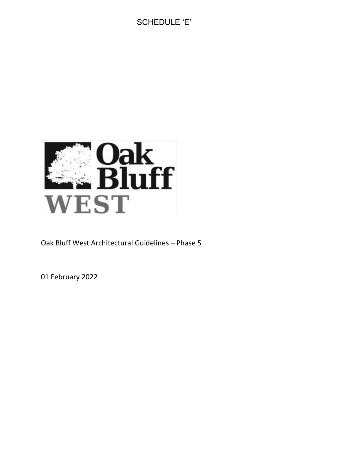# SCHEDULE 'E'



Oak Bluff West Architectural Guidelines – Phase 5

01 February 2022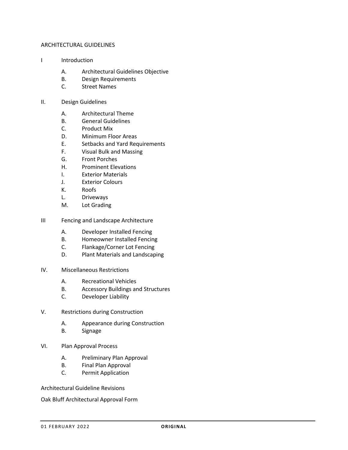#### ARCHITECTURAL GUIDELINES

- I Introduction
	- A. Architectural Guidelines Objective
	- B. Design Requirements
	- C. Street Names

#### II. Design Guidelines

- A. Architectural Theme
- B. General Guidelines
- C. Product Mix
- D. Minimum Floor Areas
- E. Setbacks and Yard Requirements
- F. Visual Bulk and Massing
- G. Front Porches
- H. Prominent Elevations
- I. Exterior Materials
- J. Exterior Colours
- K. Roofs
- L. Driveways
- M. Lot Grading
- III Fencing and Landscape Architecture
	- A. Developer Installed Fencing
	- B. Homeowner Installed Fencing
	- C. Flankage/Corner Lot Fencing
	- D. Plant Materials and Landscaping

#### IV. Miscellaneous Restrictions

- A. Recreational Vehicles
- B. Accessory Buildings and Structures
- C. Developer Liability
- V. Restrictions during Construction
	- A. Appearance during Construction
	- B. Signage

#### VI. Plan Approval Process

- A. Preliminary Plan Approval
- B. Final Plan Approval
- C. Permit Application

Architectural Guideline Revisions

Oak Bluff Architectural Approval Form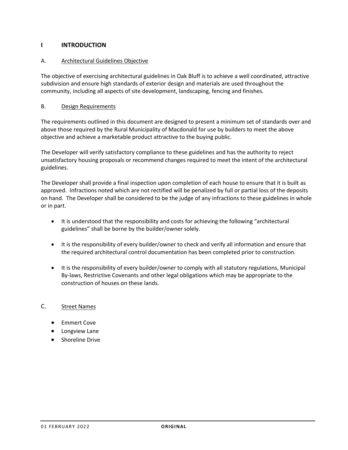# **I INTRODUCTION**

# A. Architectural Guidelines Objective

The objective of exercising architectural guidelines in Oak Bluff is to achieve a well coordinated, attractive subdivision and ensure high standards of exterior design and materials are used throughout the community, including all aspects of site development, landscaping, fencing and finishes.

### B. Design Requirements

The requirements outlined in this document are designed to present a minimum set of standards over and above those required by the Rural Municipality of Macdonald for use by builders to meet the above objective and achieve a marketable product attractive to the buying public.

The Developer will verify satisfactory compliance to these guidelines and has the authority to reject unsatisfactory housing proposals or recommend changes required to meet the intent of the architectural guidelines.

The Developer shall provide a final inspection upon completion of each house to ensure that it is built as approved. Infractions noted which are not rectified will be penalized by full or partial loss of the deposits on hand. The Developer shall be considered to be the judge of any infractions to these guidelines in whole or in part.

- It is understood that the responsibility and costs for achieving the following "architectural guidelines" shall be borne by the builder/owner solely.
- It is the responsibility of every builder/owner to check and verify all information and ensure that the required architectural control documentation has been completed prior to construction.
- It is the responsibility of every builder/owner to comply with all statutory regulations, Municipal By-laws, Restrictive Covenants and other legal obligations which may be appropriate to the construction of houses on these lands.

#### C. Street Names

- Emmert Cove
- Longview Lane
- Shoreline Drive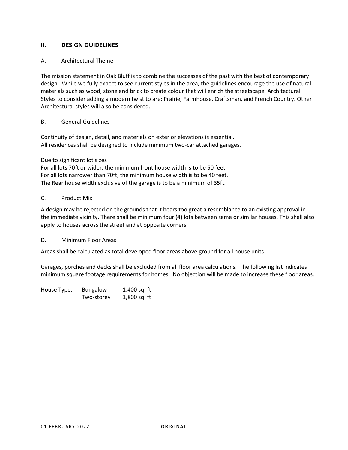# **II. DESIGN GUIDELINES**

# A. Architectural Theme

The mission statement in Oak Bluff is to combine the successes of the past with the best of contemporary design. While we fully expect to see current styles in the area, the guidelines encourage the use of natural materials such as wood, stone and brick to create colour that will enrich the streetscape. Architectural Styles to consider adding a modern twist to are: Prairie, Farmhouse, Craftsman, and French Country. Other Architectural styles will also be considered.

#### B. General Guidelines

Continuity of design, detail, and materials on exterior elevations is essential. All residences shall be designed to include minimum two-car attached garages.

#### Due to significant lot sizes

For all lots 70ft or wider, the minimum front house width is to be 50 feet. For all lots narrower than 70ft, the minimum house width is to be 40 feet. The Rear house width exclusive of the garage is to be a minimum of 35ft.

#### C. Product Mix

A design may be rejected on the grounds that it bears too great a resemblance to an existing approval in the immediate vicinity. There shall be minimum four (4) lots between same or similar houses. This shall also apply to houses across the street and at opposite corners.

#### D. Minimum Floor Areas

Areas shall be calculated as total developed floor areas above ground for all house units.

Garages, porches and decks shall be excluded from all floor area calculations. The following list indicates minimum square footage requirements for homes. No objection will be made to increase these floor areas.

| House Type: | <b>Bungalow</b> | 1,400 sq. ft |
|-------------|-----------------|--------------|
|             | Two-storey      | 1,800 sq. ft |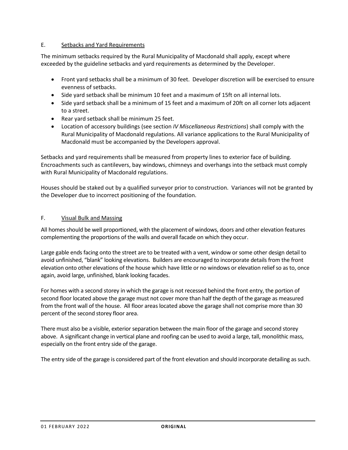### E. Setbacks and Yard Requirements

The minimum setbacks required by the Rural Municipality of Macdonald shall apply, except where exceeded by the guideline setbacks and yard requirements as determined by the Developer.

- Front yard setbacks shall be a minimum of 30 feet. Developer discretion will be exercised to ensure evenness of setbacks.
- Side yard setback shall be minimum 10 feet and a maximum of 15ft on all internal lots.
- Side yard setback shall be a minimum of 15 feet and a maximum of 20ft on all corner lots adjacent to a street.
- Rear yard setback shall be minimum 25 feet.
- Location of accessory buildings (see section *IV Miscellaneous Restrictions*) shall comply with the Rural Municipality of Macdonald regulations. All variance applications to the Rural Municipality of Macdonald must be accompanied by the Developers approval.

Setbacks and yard requirements shall be measured from property lines to exterior face of building. Encroachments such as cantilevers, bay windows, chimneys and overhangs into the setback must comply with Rural Municipality of Macdonald regulations.

Houses should be staked out by a qualified surveyor prior to construction. Variances will not be granted by the Developer due to incorrect positioning of the foundation.

# F. Visual Bulk and Massing

All homes should be well proportioned, with the placement of windows, doors and other elevation features complementing the proportions of the walls and overall facade on which they occur.

Large gable ends facing onto the street are to be treated with a vent, window or some other design detail to avoid unfinished, "blank" looking elevations. Builders are encouraged to incorporate details from the front elevation onto other elevations of the house which have little or no windows or elevation relief so as to, once again, avoid large, unfinished, blank looking facades.

For homes with a second storey in which the garage is not recessed behind the front entry, the portion of second floor located above the garage must not cover more than half the depth of the garage as measured from the front wall of the house. All floor areas located above the garage shall not comprise more than 30 percent of the second storey floor area.

There must also be a visible, exterior separation between the main floor of the garage and second storey above. A significant change in vertical plane and roofing can be used to avoid a large, tall, monolithic mass, especially on the front entry side of the garage.

The entry side of the garage is considered part of the front elevation and should incorporate detailing as such.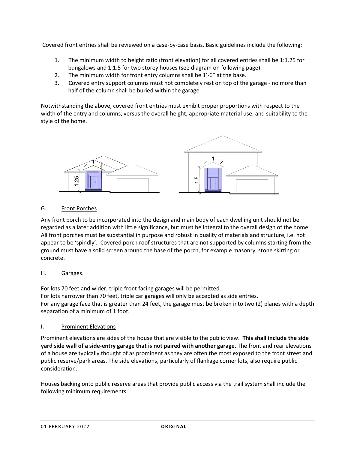Covered front entries shall be reviewed on a case-by-case basis. Basic guidelines include the following:

- 1. The minimum width to height ratio (front elevation) for all covered entries shall be 1:1.25 for bungalows and 1:1.5 for two storey houses (see diagram on following page).
- 2. The minimum width for front entry columns shall be 1'-6" at the base.
- 3. Covered entry support columns must not completely rest on top of the garage no more than half of the column shall be buried within the garage.

Notwithstanding the above, covered front entries must exhibit proper proportions with respect to the width of the entry and columns, versus the overall height, appropriate material use, and suitability to the style of the home.



# G. Front Porches

Any front porch to be incorporated into the design and main body of each dwelling unit should not be regarded as a later addition with little significance, but must be integral to the overall design of the home. All front porches must be substantial in purpose and robust in quality of materials and structure, i.e. not appear to be 'spindly'. Covered porch roof structures that are not supported by columns starting from the ground must have a solid screen around the base of the porch, for example masonry, stone skirting or concrete.

#### H. Garages.

For lots 70 feet and wider, triple front facing garages will be permitted. For lots narrower than 70 feet, triple car garages will only be accepted as side entries. For any garage face that is greater than 24 feet, the garage must be broken into two (2) planes with a depth separation of a minimum of 1 foot.

#### I. Prominent Elevations

Prominent elevations are sides of the house that are visible to the public view. **This shall include the side yard side wall of a side-entry garage that is not paired with another garage**. The front and rear elevations of a house are typically thought of as prominent as they are often the most exposed to the front street and public reserve/park areas. The side elevations, particularly of flankage corner lots, also require public consideration.

Houses backing onto public reserve areas that provide public access via the trail system shall include the following minimum requirements: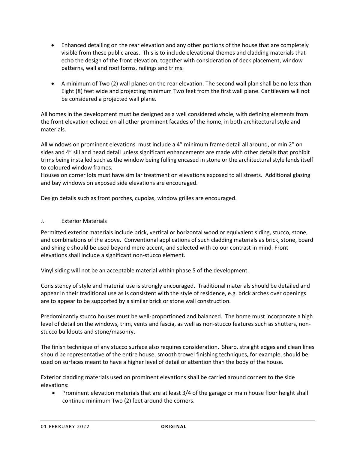- Enhanced detailing on the rear elevation and any other portions of the house that are completely visible from these public areas. This is to include elevational themes and cladding materials that echo the design of the front elevation, together with consideration of deck placement, window patterns, wall and roof forms, railings and trims.
- A minimum of Two (2) wall planes on the rear elevation. The second wall plan shall be no less than Eight (8) feet wide and projecting minimum Two feet from the first wall plane. Cantilevers will not be considered a projected wall plane.

All homes in the development must be designed as a well considered whole, with defining elements from the front elevation echoed on all other prominent facades of the home, in both architectural style and materials.

All windows on prominent elevations must include a 4" minimum frame detail all around, or min 2" on sides and 4" sill and head detail unless significant enhancements are made with other details that prohibit trims being installed such as the window being fulling encased in stone or the architectural style lends itself to coloured window frames.

Houses on corner lots must have similar treatment on elevations exposed to all streets. Additional glazing and bay windows on exposed side elevations are encouraged.

Design details such as front porches, cupolas, window grilles are encouraged.

#### J. Exterior Materials

Permitted exterior materials include brick, vertical or horizontal wood or equivalent siding, stucco, stone, and combinations of the above. Conventional applications of such cladding materials as brick, stone, board and shingle should be used beyond mere accent, and selected with colour contrast in mind. Front elevations shall include a significant non-stucco element.

Vinyl siding will not be an acceptable material within phase 5 of the development.

Consistency of style and material use is strongly encouraged. Traditional materials should be detailed and appear in their traditional use as is consistent with the style of residence, e.g. brick arches over openings are to appear to be supported by a similar brick or stone wall construction.

Predominantly stucco houses must be well-proportioned and balanced. The home must incorporate a high level of detail on the windows, trim, vents and fascia, as well as non-stucco features such as shutters, nonstucco buildouts and stone/masonry.

The finish technique of any stucco surface also requires consideration. Sharp, straight edges and clean lines should be representative of the entire house; smooth trowel finishing techniques, for example, should be used on surfaces meant to have a higher level of detail or attention than the body of the house.

Exterior cladding materials used on prominent elevations shall be carried around corners to the side elevations:

• Prominent elevation materials that are at least 3/4 of the garage or main house floor height shall continue minimum Two (2) feet around the corners.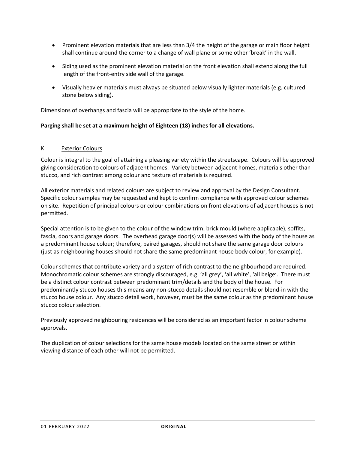- Prominent elevation materials that are less than 3/4 the height of the garage or main floor height shall continue around the corner to a change of wall plane or some other 'break' in the wall.
- Siding used as the prominent elevation material on the front elevation shall extend along the full length of the front-entry side wall of the garage.
- Visually heavier materials must always be situated below visually lighter materials (e.g. cultured stone below siding).

Dimensions of overhangs and fascia will be appropriate to the style of the home.

#### **Parging shall be set at a maximum height of Eighteen (18) inches for all elevations.**

#### K. Exterior Colours

Colour is integral to the goal of attaining a pleasing variety within the streetscape. Colours will be approved giving consideration to colours of adjacent homes. Variety between adjacent homes, materials other than stucco, and rich contrast among colour and texture of materials is required.

All exterior materials and related colours are subject to review and approval by the Design Consultant. Specific colour samples may be requested and kept to confirm compliance with approved colour schemes on site. Repetition of principal colours or colour combinations on front elevations of adjacent houses is not permitted.

Special attention is to be given to the colour of the window trim, brick mould (where applicable), soffits, fascia, doors and garage doors. The overhead garage door(s) will be assessed with the body of the house as a predominant house colour; therefore, paired garages, should not share the same garage door colours (just as neighbouring houses should not share the same predominant house body colour, for example).

Colour schemes that contribute variety and a system of rich contrast to the neighbourhood are required. Monochromatic colour schemes are strongly discouraged, e.g. 'all grey', 'all white', 'all beige'. There must be a distinct colour contrast between predominant trim/details and the body of the house. For predominantly stucco houses this means any non-stucco details should not resemble or blend-in with the stucco house colour. Any stucco detail work, however, must be the same colour as the predominant house stucco colour selection.

Previously approved neighbouring residences will be considered as an important factor in colour scheme approvals.

The duplication of colour selections for the same house models located on the same street or within viewing distance of each other will not be permitted.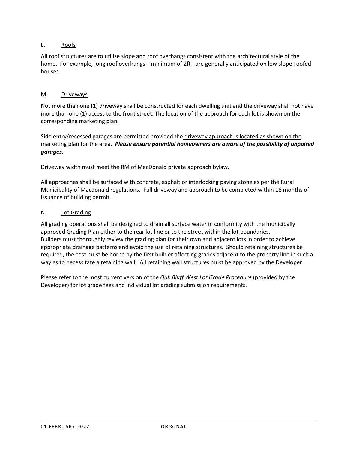# L. Roofs

All roof structures are to utilize slope and roof overhangs consistent with the architectural style of the home. For example, long roof overhangs – minimum of 2ft - are generally anticipated on low slope-roofed houses.

### M. Driveways

Not more than one (1) driveway shall be constructed for each dwelling unit and the driveway shall not have more than one (1) access to the front street. The location of the approach for each lot is shown on the corresponding marketing plan.

Side entry/recessed garages are permitted provided the driveway approach is located as shown on the marketing plan for the area.*Please ensure potential homeowners are aware of the possibility of unpaired garages.*

Driveway width must meet the RM of MacDonald private approach bylaw.

All approaches shall be surfaced with concrete, asphalt or interlocking paving stone as per the Rural Municipality of Macdonald regulations. Full driveway and approach to be completed within 18 months of issuance of building permit.

#### N. Lot Grading

All grading operations shall be designed to drain all surface water in conformity with the municipally approved Grading Plan either to the rear lot line or to the street within the lot boundaries. Builders must thoroughly review the grading plan for their own and adjacent lots in order to achieve appropriate drainage patterns and avoid the use of retaining structures. Should retaining structures be required, the cost must be borne by the first builder affecting grades adjacent to the property line in such a way as to necessitate a retaining wall. All retaining wall structures must be approved by the Developer.

Please refer to the most current version of the *Oak Bluff West Lot Grade Procedure* (provided by the Developer) for lot grade fees and individual lot grading submission requirements.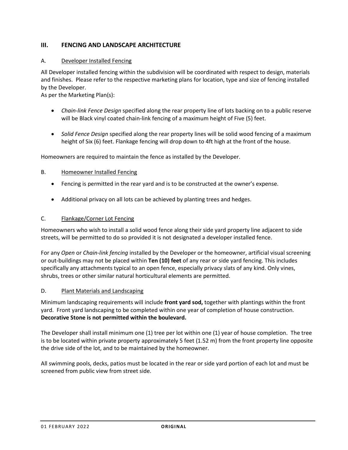# **III. FENCING AND LANDSCAPE ARCHITECTURE**

#### A. Developer Installed Fencing

All Developer installed fencing within the subdivision will be coordinated with respect to design, materials and finishes. Please refer to the respective marketing plans for location, type and size of fencing installed by the Developer.

As per the Marketing Plan(s):

- *Chain-link Fence Design* specified along the rear property line of lots backing on to a public reserve will be Black vinyl coated chain-link fencing of a maximum height of Five (5) feet.
- *Solid Fence Design* specified along the rear property lines will be solid wood fencing of a maximum height of Six (6) feet. Flankage fencing will drop down to 4ft high at the front of the house.

Homeowners are required to maintain the fence as installed by the Developer.

#### B. Homeowner Installed Fencing

- Fencing is permitted in the rear yard and is to be constructed at the owner's expense.
- Additional privacy on all lots can be achieved by planting trees and hedges.

#### C. Flankage/Corner Lot Fencing

Homeowners who wish to install a solid wood fence along their side yard property line adjacent to side streets, will be permitted to do so provided it is not designated a developer installed fence.

For any *Open* or *Chain-link fencing* installed by the Developer or the homeowner, artificial visual screening or out-buildings may not be placed within **Ten (10) feet** of any rear or side yard fencing. This includes specifically any attachments typical to an open fence, especially privacy slats of any kind. Only vines, shrubs, trees or other similar natural horticultural elements are permitted.

#### D. Plant Materials and Landscaping

Minimum landscaping requirements will include **front yard sod,** together with plantings within the front yard. Front yard landscaping to be completed within one year of completion of house construction. **Decorative Stone is not permitted within the boulevard.** 

The Developer shall install minimum one (1) tree per lot within one (1) year of house completion. The tree is to be located within private property approximately 5 feet (1.52 m) from the front property line opposite the drive side of the lot, and to be maintained by the homeowner.

All swimming pools, decks, patios must be located in the rear or side yard portion of each lot and must be screened from public view from street side.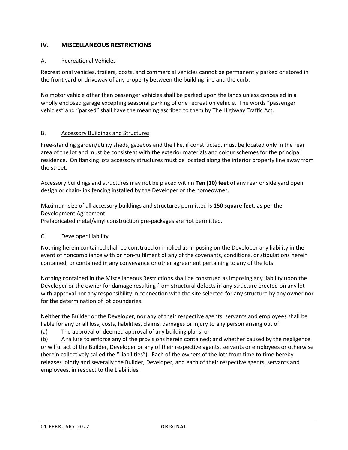# **IV. MISCELLANEOUS RESTRICTIONS**

# A. Recreational Vehicles

Recreational vehicles, trailers, boats, and commercial vehicles cannot be permanently parked or stored in the front yard or driveway of any property between the building line and the curb.

No motor vehicle other than passenger vehicles shall be parked upon the lands unless concealed in a wholly enclosed garage excepting seasonal parking of one recreation vehicle. The words "passenger vehicles" and "parked" shall have the meaning ascribed to them by The Highway Traffic Act.

#### B. Accessory Buildings and Structures

Free-standing garden/utility sheds, gazebos and the like, if constructed, must be located only in the rear area of the lot and must be consistent with the exterior materials and colour schemes for the principal residence. On flanking lots accessory structures must be located along the interior property line away from the street.

Accessory buildings and structures may not be placed within **Ten (10) feet** of any rear or side yard open design or chain-link fencing installed by the Developer or the homeowner.

Maximum size of all accessory buildings and structures permitted is **150 square feet**, as per the Development Agreement.

Prefabricated metal/vinyl construction pre-packages are not permitted.

#### C. Developer Liability

Nothing herein contained shall be construed or implied as imposing on the Developer any liability in the event of noncompliance with or non-fulfilment of any of the covenants, conditions, or stipulations herein contained, or contained in any conveyance or other agreement pertaining to any of the lots.

Nothing contained in the Miscellaneous Restrictions shall be construed as imposing any liability upon the Developer or the owner for damage resulting from structural defects in any structure erected on any lot with approval nor any responsibility in connection with the site selected for any structure by any owner nor for the determination of lot boundaries.

Neither the Builder or the Developer, nor any of their respective agents, servants and employees shall be liable for any or all loss, costs, liabilities, claims, damages or injury to any person arising out of:

(a) The approval or deemed approval of any building plans, or

(b) A failure to enforce any of the provisions herein contained; and whether caused by the negligence or wilful act of the Builder, Developer or any of their respective agents, servants or employees or otherwise (herein collectively called the "Liabilities"). Each of the owners of the lots from time to time hereby releases jointly and severally the Builder, Developer, and each of their respective agents, servants and employees, in respect to the Liabilities.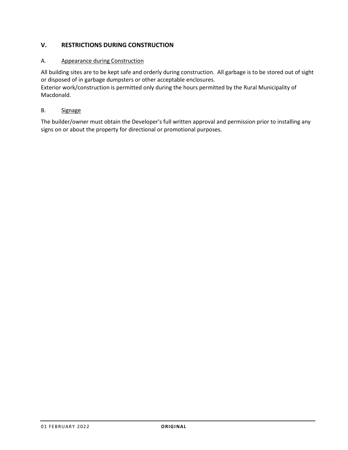# **V. RESTRICTIONS DURING CONSTRUCTION**

# A. Appearance during Construction

All building sites are to be kept safe and orderly during construction. All garbage is to be stored out of sight or disposed of in garbage dumpsters or other acceptable enclosures.

Exterior work/construction is permitted only during the hours permitted by the Rural Municipality of Macdonald.

# B. Signage

The builder/owner must obtain the Developer's full written approval and permission prior to installing any signs on or about the property for directional or promotional purposes.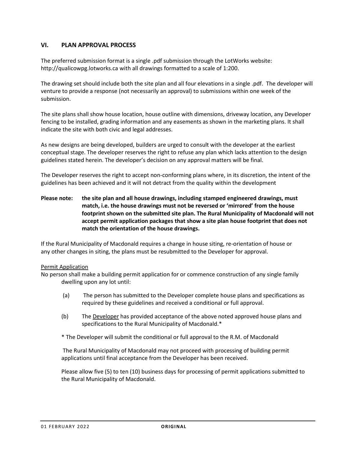# **VI. PLAN APPROVAL PROCESS**

The preferred submission format is a single .pdf submission through the LotWorks website: http://qualicowpg.lotworks.ca with all drawings formatted to a scale of 1:200.

The drawing set should include both the site plan and all four elevations in a single .pdf. The developer will venture to provide a response (not necessarily an approval) to submissions within one week of the submission.

The site plans shall show house location, house outline with dimensions, driveway location, any Developer fencing to be installed, grading information and any easements as shown in the marketing plans. It shall indicate the site with both civic and legal addresses.

As new designs are being developed, builders are urged to consult with the developer at the earliest conceptual stage. The developer reserves the right to refuse any plan which lacks attention to the design guidelines stated herein. The developer's decision on any approval matters will be final.

The Developer reserves the right to accept non-conforming plans where, in its discretion, the intent of the guidelines has been achieved and it will not detract from the quality within the development

**Please note: the site plan and all house drawings, including stamped engineered drawings, must match, i.e. the house drawings must not be reversed or 'mirrored' from the house footprint shown on the submitted site plan. The Rural Municipality of Macdonald will not accept permit application packages that show a site plan house footprint that does not match the orientation of the house drawings.**

If the Rural Municipality of Macdonald requires a change in house siting, re-orientation of house or any other changes in siting, the plans must be resubmitted to the Developer for approval.

#### Permit Application

No person shall make a building permit application for or commence construction of any single family dwelling upon any lot until:

- (a) The person has submitted to the Developer complete house plans and specifications as required by these guidelines and received a conditional or full approval.
- (b) The Developer has provided acceptance of the above noted approved house plans and specifications to the Rural Municipality of Macdonald.\*
- \* The Developer will submit the conditional or full approval to the R.M. of Macdonald

The Rural Municipality of Macdonald may not proceed with processing of building permit applications until final acceptance from the Developer has been received.

Please allow five (5) to ten (10) business days for processing of permit applications submitted to the Rural Municipality of Macdonald.